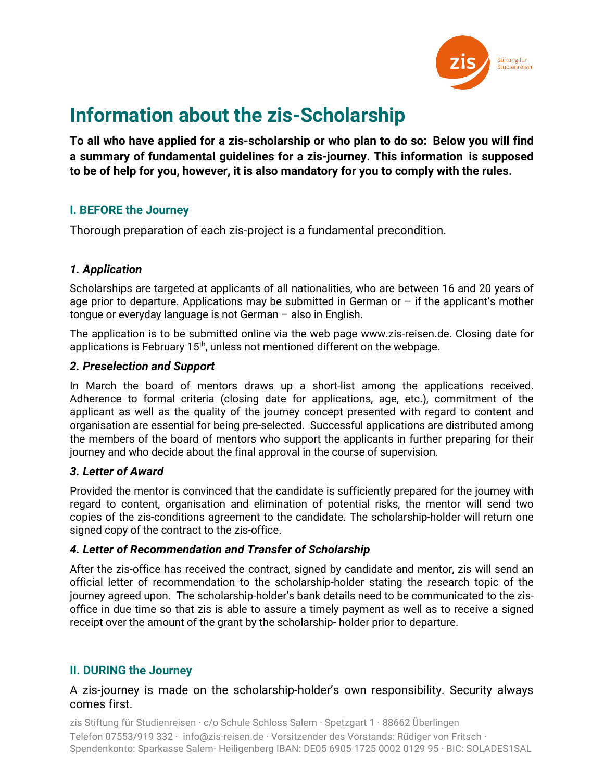

# **Information about the zis-Scholarship**

**To all who have applied for a zis-scholarship or who plan to do so: Below you will find a summary of fundamental guidelines for a zis-journey. This information is supposed to be of help for you, however, it is also mandatory for you to comply with the rules.** 

# **I. BEFORE the Journey**

Thorough preparation of each zis-project is a fundamental precondition.

# *1. Application*

Scholarships are targeted at applicants of all nationalities, who are between 16 and 20 years of age prior to departure. Applications may be submitted in German or  $-$  if the applicant's mother tongue or everyday language is not German – also in English.

The application is to be submitted online via the web page www.zis-reisen.de. Closing date for applications is February  $15<sup>th</sup>$ , unless not mentioned different on the webpage.

# *2. Preselection and Support*

In March the board of mentors draws up a short-list among the applications received. Adherence to formal criteria (closing date for applications, age, etc.), commitment of the applicant as well as the quality of the journey concept presented with regard to content and organisation are essential for being pre-selected. Successful applications are distributed among the members of the board of mentors who support the applicants in further preparing for their journey and who decide about the final approval in the course of supervision.

# *3. Letter of Award*

Provided the mentor is convinced that the candidate is sufficiently prepared for the journey with regard to content, organisation and elimination of potential risks, the mentor will send two copies of the zis-conditions agreement to the candidate. The scholarship-holder will return one signed copy of the contract to the zis-office.

# *4. Letter of Recommendation and Transfer of Scholarship*

After the zis-office has received the contract, signed by candidate and mentor, zis will send an official letter of recommendation to the scholarship-holder stating the research topic of the journey agreed upon. The scholarship-holder's bank details need to be communicated to the zisoffice in due time so that zis is able to assure a timely payment as well as to receive a signed receipt over the amount of the grant by the scholarship- holder prior to departure.

# **II. DURING the Journey**

# A zis-journey is made on the scholarship-holder's own responsibility. Security always comes first.

zis Stiftung für Studienreisen · c/o Schule Schloss Salem · Spetzgart 1 · 88662 Überlingen Telefon 07553/919 332 · [info@zis-reisen.de](mailto:info@zis-reisen.de) · Vorsitzender des Vorstands: Rüdiger von Fritsch · Spendenkonto: Sparkasse Salem- Heiligenberg IBAN: DE05 6905 1725 0002 0129 95 · BIC: SOLADES1SAL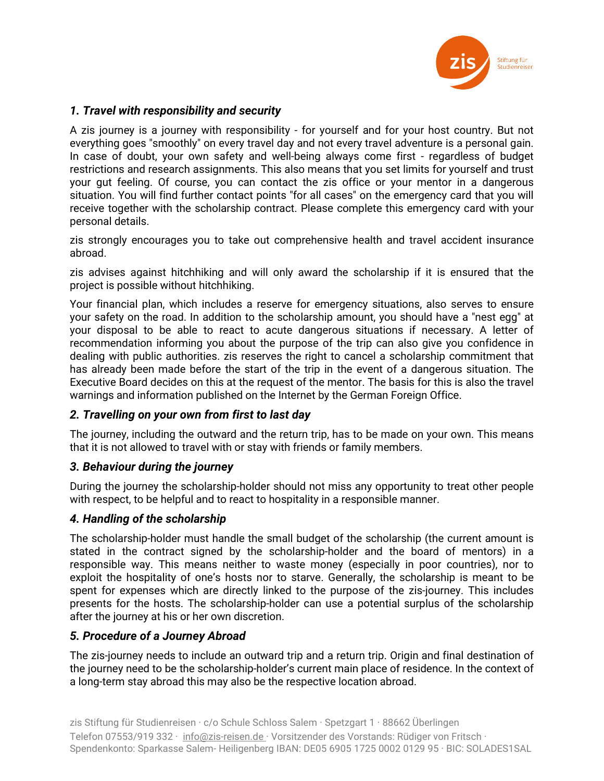

## *1. Travel with responsibility and security*

A zis journey is a journey with responsibility - for yourself and for your host country. But not everything goes "smoothly" on every travel day and not every travel adventure is a personal gain. In case of doubt, your own safety and well-being always come first - regardless of budget restrictions and research assignments. This also means that you set limits for yourself and trust your gut feeling. Of course, you can contact the zis office or your mentor in a dangerous situation. You will find further contact points "for all cases" on the emergency card that you will receive together with the scholarship contract. Please complete this emergency card with your personal details.

zis strongly encourages you to take out comprehensive health and travel accident insurance abroad.

zis advises against hitchhiking and will only award the scholarship if it is ensured that the project is possible without hitchhiking.

Your financial plan, which includes a reserve for emergency situations, also serves to ensure your safety on the road. In addition to the scholarship amount, you should have a "nest egg" at your disposal to be able to react to acute dangerous situations if necessary. A letter of recommendation informing you about the purpose of the trip can also give you confidence in dealing with public authorities. zis reserves the right to cancel a scholarship commitment that has already been made before the start of the trip in the event of a dangerous situation. The Executive Board decides on this at the request of the mentor. The basis for this is also the travel warnings and information published on the Internet by the German Foreign Office.

## *2. Travelling on your own from first to last day*

The journey, including the outward and the return trip, has to be made on your own. This means that it is not allowed to travel with or stay with friends or family members.

### *3. Behaviour during the journey*

During the journey the scholarship-holder should not miss any opportunity to treat other people with respect, to be helpful and to react to hospitality in a responsible manner.

### *4. Handling of the scholarship*

The scholarship-holder must handle the small budget of the scholarship (the current amount is stated in the contract signed by the scholarship-holder and the board of mentors) in a responsible way. This means neither to waste money (especially in poor countries), nor to exploit the hospitality of one's hosts nor to starve. Generally, the scholarship is meant to be spent for expenses which are directly linked to the purpose of the zis-journey. This includes presents for the hosts. The scholarship-holder can use a potential surplus of the scholarship after the journey at his or her own discretion.

## *5. Procedure of a Journey Abroad*

The zis-journey needs to include an outward trip and a return trip. Origin and final destination of the journey need to be the scholarship-holder's current main place of residence. In the context of a long-term stay abroad this may also be the respective location abroad.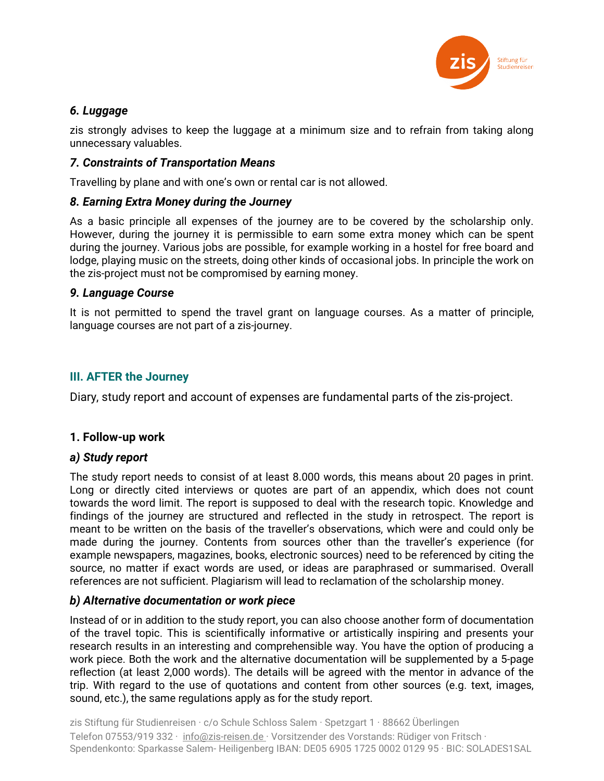

## *6. Luggage*

zis strongly advises to keep the luggage at a minimum size and to refrain from taking along unnecessary valuables.

## *7. Constraints of Transportation Means*

Travelling by plane and with one's own or rental car is not allowed.

## *8. Earning Extra Money during the Journey*

As a basic principle all expenses of the journey are to be covered by the scholarship only. However, during the journey it is permissible to earn some extra money which can be spent during the journey. Various jobs are possible, for example working in a hostel for free board and lodge, playing music on the streets, doing other kinds of occasional jobs. In principle the work on the zis-project must not be compromised by earning money.

## *9. Language Course*

It is not permitted to spend the travel grant on language courses. As a matter of principle, language courses are not part of a zis-journey.

# **III. AFTER the Journey**

Diary, study report and account of expenses are fundamental parts of the zis-project.

# **1. Follow-up work**

## *a) Study report*

The study report needs to consist of at least 8.000 words, this means about 20 pages in print. Long or directly cited interviews or quotes are part of an appendix, which does not count towards the word limit. The report is supposed to deal with the research topic. Knowledge and findings of the journey are structured and reflected in the study in retrospect. The report is meant to be written on the basis of the traveller's observations, which were and could only be made during the journey. Contents from sources other than the traveller's experience (for example newspapers, magazines, books, electronic sources) need to be referenced by citing the source, no matter if exact words are used, or ideas are paraphrased or summarised. Overall references are not sufficient. Plagiarism will lead to reclamation of the scholarship money.

## *b) Alternative documentation or work piece*

Instead of or in addition to the study report, you can also choose another form of documentation of the travel topic. This is scientifically informative or artistically inspiring and presents your research results in an interesting and comprehensible way. You have the option of producing a work piece. Both the work and the alternative documentation will be supplemented by a 5-page reflection (at least 2,000 words). The details will be agreed with the mentor in advance of the trip. With regard to the use of quotations and content from other sources (e.g. text, images, sound, etc.), the same regulations apply as for the study report.

zis Stiftung für Studienreisen · c/o Schule Schloss Salem · Spetzgart 1 · 88662 Überlingen Telefon 07553/919 332 · [info@zis-reisen.de](mailto:info@zis-reisen.de) · Vorsitzender des Vorstands: Rüdiger von Fritsch · Spendenkonto: Sparkasse Salem- Heiligenberg IBAN: DE05 6905 1725 0002 0129 95 · BIC: SOLADES1SAL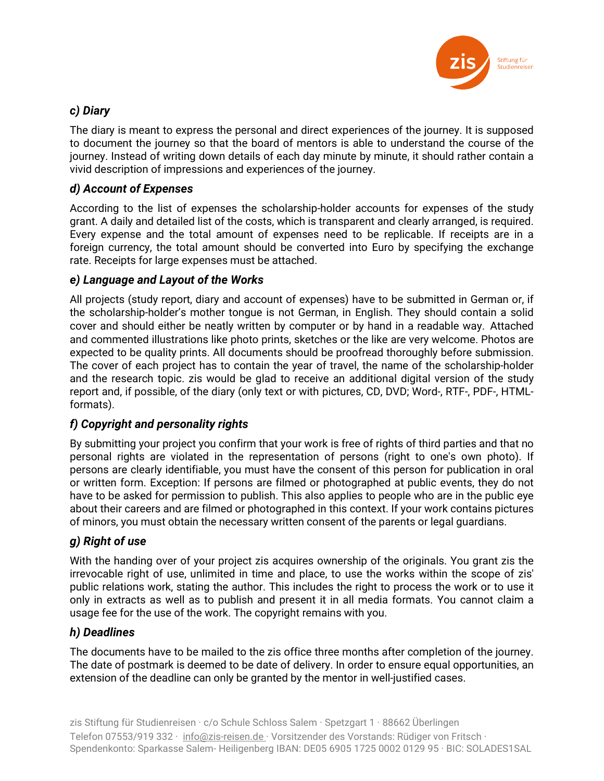

# *c) Diary*

The diary is meant to express the personal and direct experiences of the journey. It is supposed to document the journey so that the board of mentors is able to understand the course of the journey. Instead of writing down details of each day minute by minute, it should rather contain a vivid description of impressions and experiences of the journey.

# *d) Account of Expenses*

According to the list of expenses the scholarship-holder accounts for expenses of the study grant. A daily and detailed list of the costs, which is transparent and clearly arranged, is required. Every expense and the total amount of expenses need to be replicable. If receipts are in a foreign currency, the total amount should be converted into Euro by specifying the exchange rate. Receipts for large expenses must be attached.

# *e) Language and Layout of the Works*

All projects (study report, diary and account of expenses) have to be submitted in German or, if the scholarship-holder's mother tongue is not German, in English. They should contain a solid cover and should either be neatly written by computer or by hand in a readable way. Attached and commented illustrations like photo prints, sketches or the like are very welcome. Photos are expected to be quality prints. All documents should be proofread thoroughly before submission. The cover of each project has to contain the year of travel, the name of the scholarship-holder and the research topic. zis would be glad to receive an additional digital version of the study report and, if possible, of the diary (only text or with pictures, CD, DVD; Word-, RTF-, PDF-, HTMLformats).

# *f) Copyright and personality rights*

By submitting your project you confirm that your work is free of rights of third parties and that no personal rights are violated in the representation of persons (right to one's own photo). If persons are clearly identifiable, you must have the consent of this person for publication in oral or written form. Exception: If persons are filmed or photographed at public events, they do not have to be asked for permission to publish. This also applies to people who are in the public eye about their careers and are filmed or photographed in this context. If your work contains pictures of minors, you must obtain the necessary written consent of the parents or legal guardians.

# *g) Right of use*

With the handing over of your project zis acquires ownership of the originals. You grant zis the irrevocable right of use, unlimited in time and place, to use the works within the scope of zis' public relations work, stating the author. This includes the right to process the work or to use it only in extracts as well as to publish and present it in all media formats. You cannot claim a usage fee for the use of the work. The copyright remains with you.

## *h) Deadlines*

The documents have to be mailed to the zis office three months after completion of the journey. The date of postmark is deemed to be date of delivery. In order to ensure equal opportunities, an extension of the deadline can only be granted by the mentor in well-justified cases.